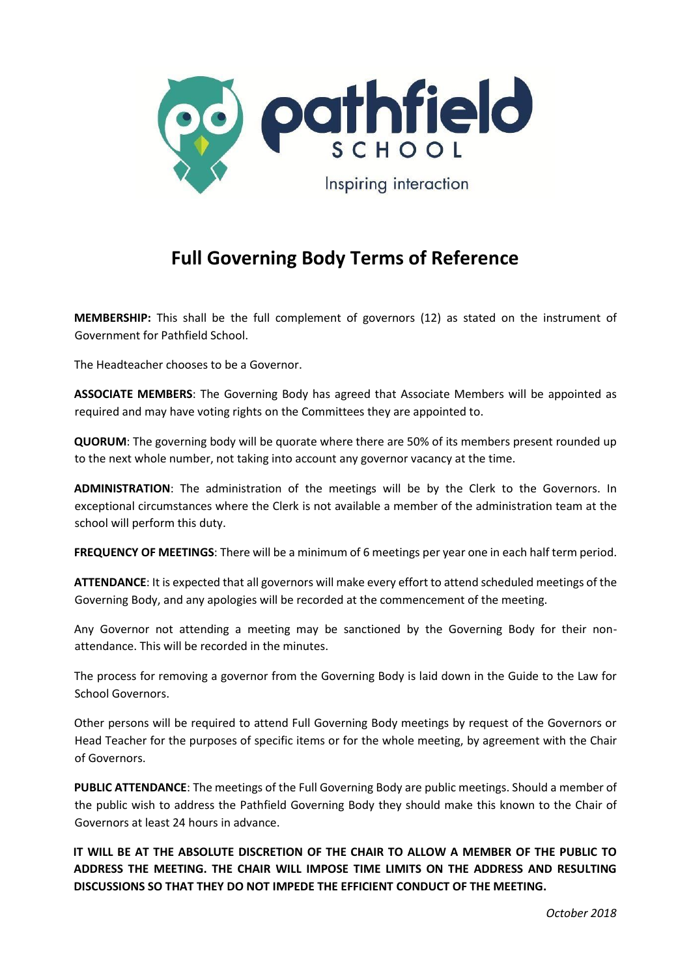

## **Full Governing Body Terms of Reference**

**MEMBERSHIP:** This shall be the full complement of governors (12) as stated on the instrument of Government for Pathfield School.

The Headteacher chooses to be a Governor.

**ASSOCIATE MEMBERS**: The Governing Body has agreed that Associate Members will be appointed as required and may have voting rights on the Committees they are appointed to.

**QUORUM**: The governing body will be quorate where there are 50% of its members present rounded up to the next whole number, not taking into account any governor vacancy at the time.

**ADMINISTRATION**: The administration of the meetings will be by the Clerk to the Governors. In exceptional circumstances where the Clerk is not available a member of the administration team at the school will perform this duty.

**FREQUENCY OF MEETINGS**: There will be a minimum of 6 meetings per year one in each half term period.

**ATTENDANCE**: It is expected that all governors will make every effort to attend scheduled meetings of the Governing Body, and any apologies will be recorded at the commencement of the meeting.

Any Governor not attending a meeting may be sanctioned by the Governing Body for their nonattendance. This will be recorded in the minutes.

The process for removing a governor from the Governing Body is laid down in the Guide to the Law for School Governors.

Other persons will be required to attend Full Governing Body meetings by request of the Governors or Head Teacher for the purposes of specific items or for the whole meeting, by agreement with the Chair of Governors.

**PUBLIC ATTENDANCE**: The meetings of the Full Governing Body are public meetings. Should a member of the public wish to address the Pathfield Governing Body they should make this known to the Chair of Governors at least 24 hours in advance.

**IT WILL BE AT THE ABSOLUTE DISCRETION OF THE CHAIR TO ALLOW A MEMBER OF THE PUBLIC TO ADDRESS THE MEETING. THE CHAIR WILL IMPOSE TIME LIMITS ON THE ADDRESS AND RESULTING DISCUSSIONS SO THAT THEY DO NOT IMPEDE THE EFFICIENT CONDUCT OF THE MEETING.**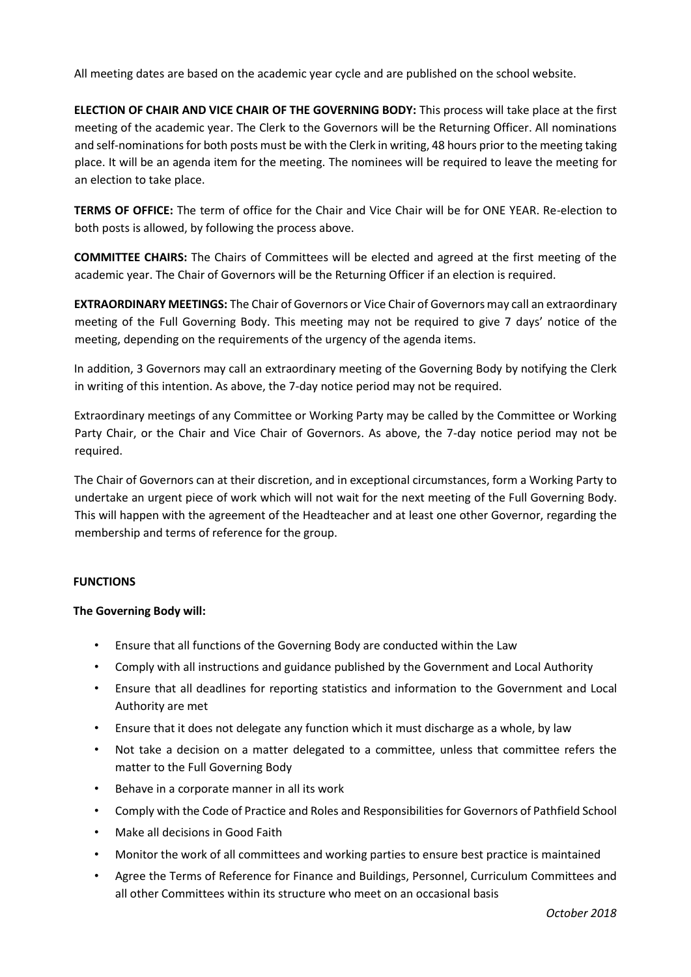All meeting dates are based on the academic year cycle and are published on the school website.

**ELECTION OF CHAIR AND VICE CHAIR OF THE GOVERNING BODY:** This process will take place at the first meeting of the academic year. The Clerk to the Governors will be the Returning Officer. All nominations and self-nominations for both posts must be with the Clerk in writing, 48 hours prior to the meeting taking place. It will be an agenda item for the meeting. The nominees will be required to leave the meeting for an election to take place.

**TERMS OF OFFICE:** The term of office for the Chair and Vice Chair will be for ONE YEAR. Re-election to both posts is allowed, by following the process above.

**COMMITTEE CHAIRS:** The Chairs of Committees will be elected and agreed at the first meeting of the academic year. The Chair of Governors will be the Returning Officer if an election is required.

**EXTRAORDINARY MEETINGS:** The Chair of Governors or Vice Chair of Governors may call an extraordinary meeting of the Full Governing Body. This meeting may not be required to give 7 days' notice of the meeting, depending on the requirements of the urgency of the agenda items.

In addition, 3 Governors may call an extraordinary meeting of the Governing Body by notifying the Clerk in writing of this intention. As above, the 7-day notice period may not be required.

Extraordinary meetings of any Committee or Working Party may be called by the Committee or Working Party Chair, or the Chair and Vice Chair of Governors. As above, the 7-day notice period may not be required.

The Chair of Governors can at their discretion, and in exceptional circumstances, form a Working Party to undertake an urgent piece of work which will not wait for the next meeting of the Full Governing Body. This will happen with the agreement of the Headteacher and at least one other Governor, regarding the membership and terms of reference for the group.

## **FUNCTIONS**

## **The Governing Body will:**

- Ensure that all functions of the Governing Body are conducted within the Law
- Comply with all instructions and guidance published by the Government and Local Authority
- Ensure that all deadlines for reporting statistics and information to the Government and Local Authority are met
- Ensure that it does not delegate any function which it must discharge as a whole, by law
- Not take a decision on a matter delegated to a committee, unless that committee refers the matter to the Full Governing Body
- Behave in a corporate manner in all its work
- Comply with the Code of Practice and Roles and Responsibilities for Governors of Pathfield School
- Make all decisions in Good Faith
- Monitor the work of all committees and working parties to ensure best practice is maintained
- Agree the Terms of Reference for Finance and Buildings, Personnel, Curriculum Committees and all other Committees within its structure who meet on an occasional basis